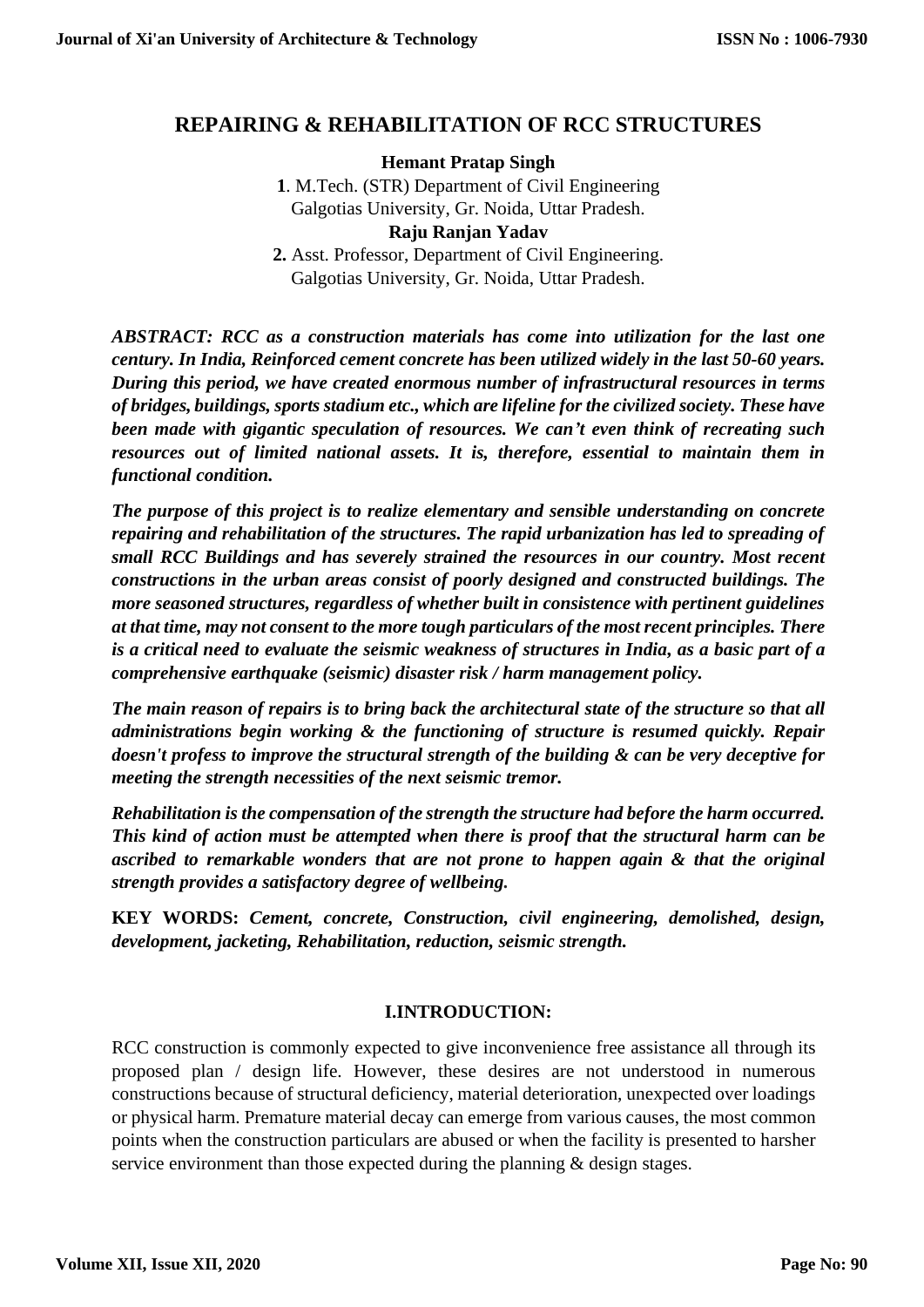# **REPAIRING & REHABILITATION OF RCC STRUCTURES**

#### **Hemant Pratap Singh**

**1**. M.Tech. (STR) Department of Civil Engineering Galgotias University, Gr. Noida, Uttar Pradesh. **Raju Ranjan Yadav**

**2.** Asst. Professor, Department of Civil Engineering. Galgotias University, Gr. Noida, Uttar Pradesh.

*ABSTRACT: RCC as a construction materials has come into utilization for the last one century. In India, Reinforced cement concrete has been utilized widely in the last 50-60 years. During this period, we have created enormous number of infrastructural resources in terms of bridges, buildings, sports stadium etc., which are lifeline for the civilized society. These have been made with gigantic speculation of resources. We can't even think of recreating such resources out of limited national assets. It is, therefore, essential to maintain them in functional condition.*

*The purpose of this project is to realize elementary and sensible understanding on concrete repairing and rehabilitation of the structures. The rapid urbanization has led to spreading of small RCC Buildings and has severely strained the resources in our country. Most recent constructions in the urban areas consist of poorly designed and constructed buildings. The more seasoned structures, regardless of whether built in consistence with pertinent guidelines at that time, may not consent to the more tough particulars of the most recent principles. There is a critical need to evaluate the seismic weakness of structures in India, as a basic part of a comprehensive earthquake (seismic) disaster risk / harm management policy.*

*The main reason of repairs is to bring back the architectural state of the structure so that all administrations begin working & the functioning of structure is resumed quickly. Repair doesn't profess to improve the structural strength of the building & can be very deceptive for meeting the strength necessities of the next seismic tremor.*

*Rehabilitation is the compensation of the strength the structure had before the harm occurred. This kind of action must be attempted when there is proof that the structural harm can be ascribed to remarkable wonders that are not prone to happen again & that the original strength provides a satisfactory degree of wellbeing.*

**KEY WORDS:** *Cement, concrete, Construction, civil engineering, demolished, design, development, jacketing, Rehabilitation, reduction, seismic strength.*

## **I.INTRODUCTION:**

RCC construction is commonly expected to give inconvenience free assistance all through its proposed plan / design life. However, these desires are not understood in numerous constructions because of structural deficiency, material deterioration, unexpected over loadings or physical harm. Premature material decay can emerge from various causes, the most common points when the construction particulars are abused or when the facility is presented to harsher service environment than those expected during the planning  $\&$  design stages.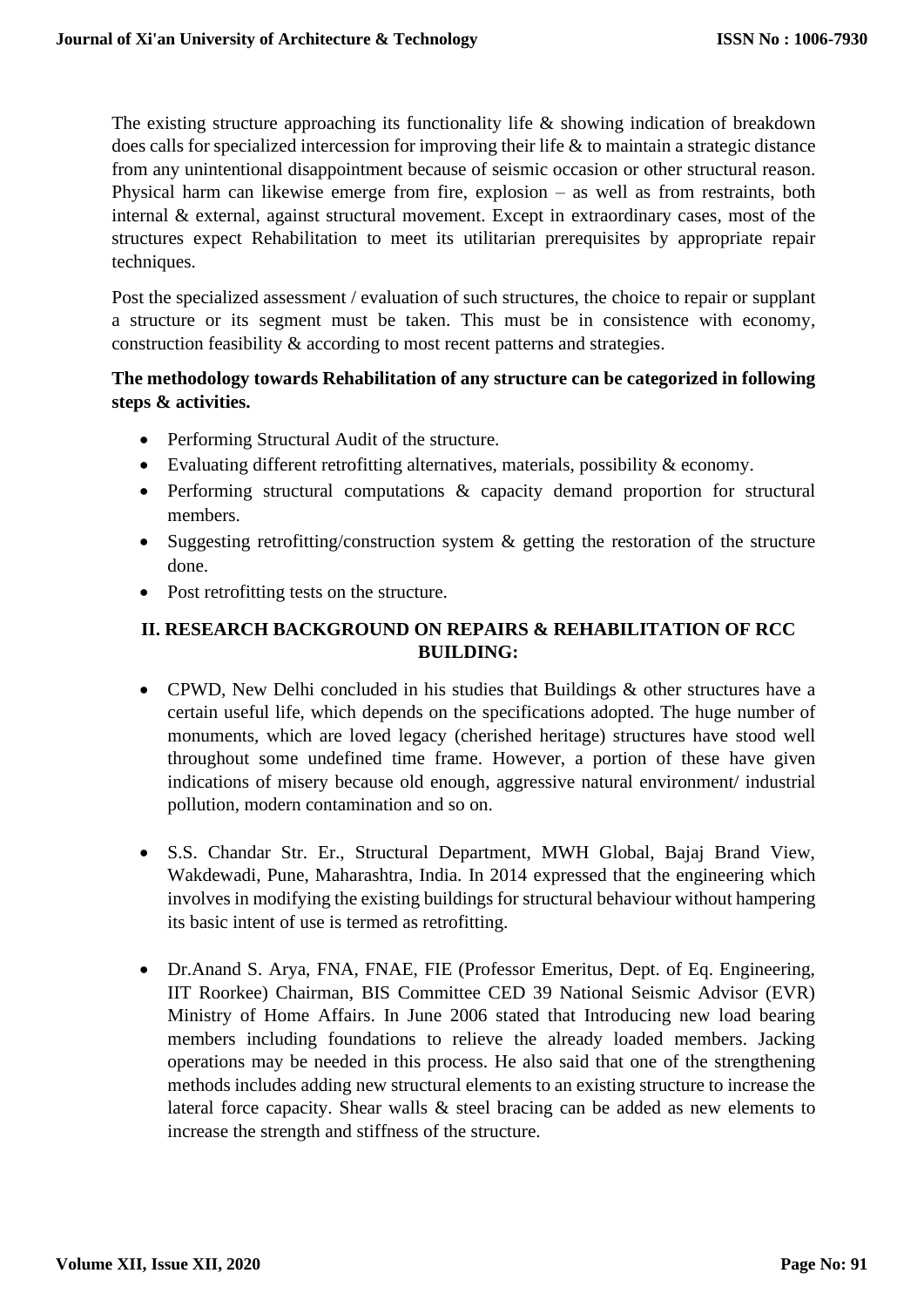The existing structure approaching its functionality life & showing indication of breakdown does calls for specialized intercession for improving their life & to maintain a strategic distance from any unintentional disappointment because of seismic occasion or other structural reason. Physical harm can likewise emerge from fire, explosion – as well as from restraints, both internal & external, against structural movement. Except in extraordinary cases, most of the structures expect Rehabilitation to meet its utilitarian prerequisites by appropriate repair techniques.

Post the specialized assessment / evaluation of such structures, the choice to repair or supplant a structure or its segment must be taken. This must be in consistence with economy, construction feasibility & according to most recent patterns and strategies.

## **The methodology towards Rehabilitation of any structure can be categorized in following steps & activities.**

- Performing Structural Audit of the structure.
- Evaluating different retrofitting alternatives, materials, possibility & economy.
- Performing structural computations & capacity demand proportion for structural members.
- Suggesting retrofitting/construction system & getting the restoration of the structure done.
- Post retrofitting tests on the structure.

## **II. RESEARCH BACKGROUND ON REPAIRS & REHABILITATION OF RCC BUILDING:**

- CPWD, New Delhi concluded in his studies that Buildings & other structures have a certain useful life, which depends on the specifications adopted. The huge number of monuments, which are loved legacy (cherished heritage) structures have stood well throughout some undefined time frame. However, a portion of these have given indications of misery because old enough, aggressive natural environment/ industrial pollution, modern contamination and so on.
- S.S. Chandar Str. Er., Structural Department, MWH Global, Bajaj Brand View, Wakdewadi, Pune, Maharashtra, India. In 2014 expressed that the engineering which involves in modifying the existing buildings for structural behaviour without hampering its basic intent of use is termed as retrofitting.
- Dr.Anand S. Arya, FNA, FNAE, FIE (Professor Emeritus, Dept. of Eq. Engineering, IIT Roorkee) Chairman, BIS Committee CED 39 National Seismic Advisor (EVR) Ministry of Home Affairs. In June 2006 stated that Introducing new load bearing members including foundations to relieve the already loaded members. Jacking operations may be needed in this process. He also said that one of the strengthening methods includes adding new structural elements to an existing structure to increase the lateral force capacity. Shear walls & steel bracing can be added as new elements to increase the strength and stiffness of the structure.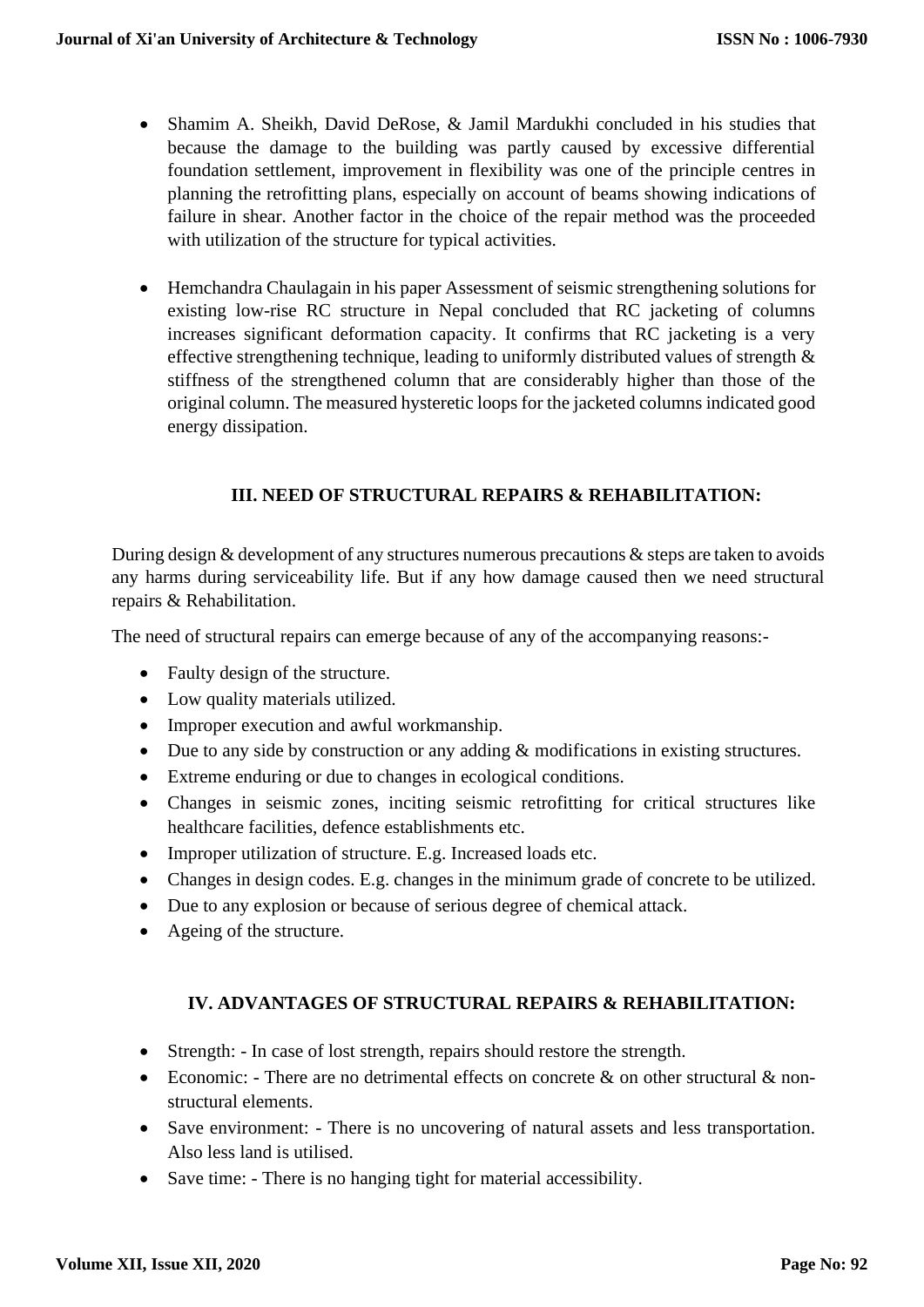- Shamim A. Sheikh, David DeRose, & Jamil Mardukhi concluded in his studies that because the damage to the building was partly caused by excessive differential foundation settlement, improvement in flexibility was one of the principle centres in planning the retrofitting plans, especially on account of beams showing indications of failure in shear. Another factor in the choice of the repair method was the proceeded with utilization of the structure for typical activities.
- Hemchandra Chaulagain in his paper Assessment of seismic strengthening solutions for existing low-rise RC structure in Nepal concluded that RC jacketing of columns increases significant deformation capacity. It confirms that RC jacketing is a very effective strengthening technique, leading to uniformly distributed values of strength  $\&$ stiffness of the strengthened column that are considerably higher than those of the original column. The measured hysteretic loops for the jacketed columns indicated good energy dissipation.

## **III. NEED OF STRUCTURAL REPAIRS & REHABILITATION:**

During design & development of any structures numerous precautions & steps are taken to avoids any harms during serviceability life. But if any how damage caused then we need structural repairs & Rehabilitation.

The need of structural repairs can emerge because of any of the accompanying reasons:-

- Faulty design of the structure.
- Low quality materials utilized.
- Improper execution and awful workmanship.
- Due to any side by construction or any adding  $&$  modifications in existing structures.
- Extreme enduring or due to changes in ecological conditions.
- Changes in seismic zones, inciting seismic retrofitting for critical structures like healthcare facilities, defence establishments etc.
- Improper utilization of structure. E.g. Increased loads etc.
- Changes in design codes. E.g. changes in the minimum grade of concrete to be utilized.
- Due to any explosion or because of serious degree of chemical attack.
- Ageing of the structure.

#### **IV. ADVANTAGES OF STRUCTURAL REPAIRS & REHABILITATION:**

- Strength: In case of lost strength, repairs should restore the strength.
- Economic: There are no detrimental effects on concrete  $\&$  on other structural  $\&$  nonstructural elements.
- Save environment: There is no uncovering of natural assets and less transportation. Also less land is utilised.
- Save time: There is no hanging tight for material accessibility.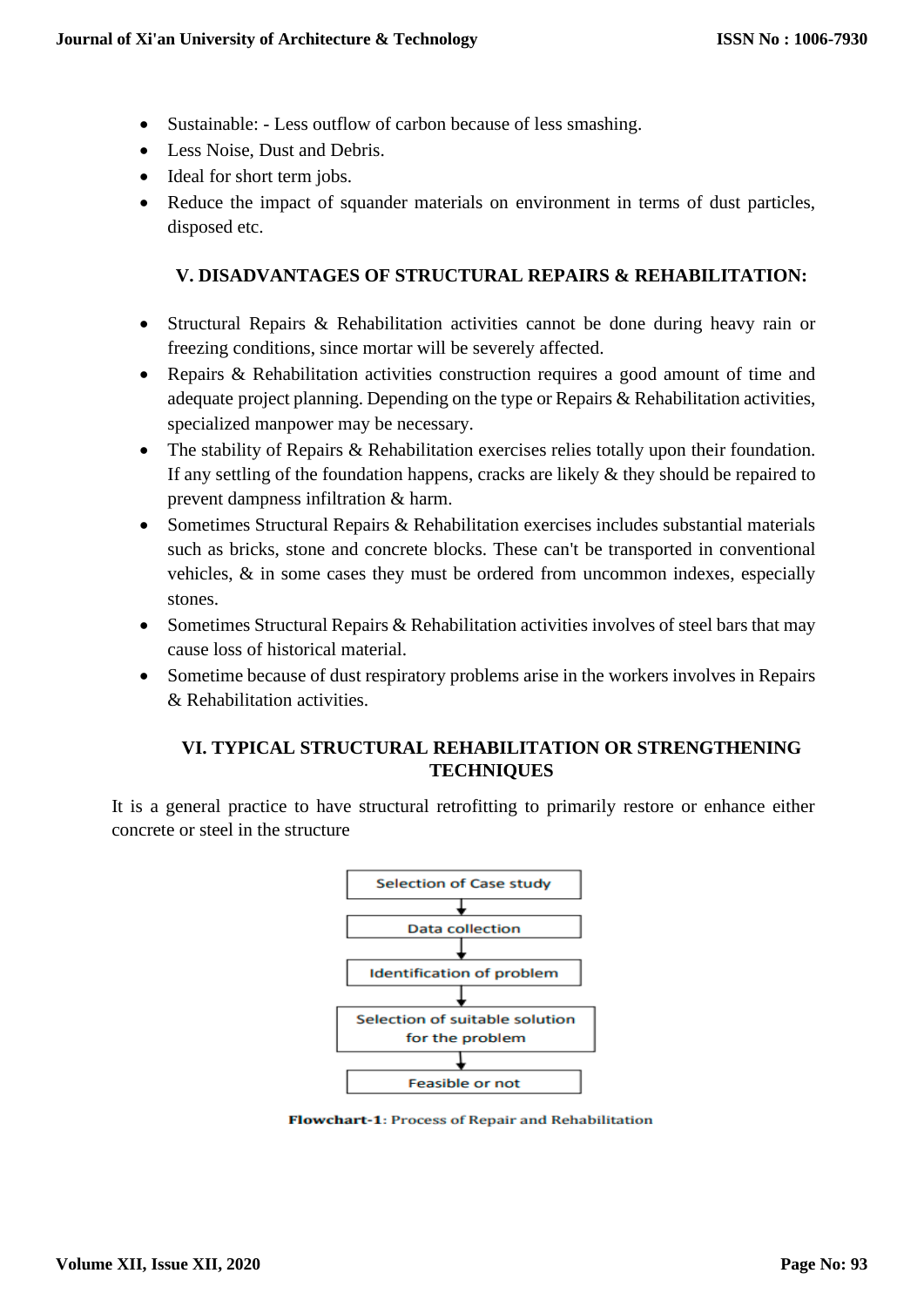- Sustainable: Less outflow of carbon because of less smashing.
- Less Noise, Dust and Debris.
- Ideal for short term jobs.
- Reduce the impact of squander materials on environment in terms of dust particles, disposed etc.

## **V. DISADVANTAGES OF STRUCTURAL REPAIRS & REHABILITATION:**

- Structural Repairs & Rehabilitation activities cannot be done during heavy rain or freezing conditions, since mortar will be severely affected.
- Repairs & Rehabilitation activities construction requires a good amount of time and adequate project planning. Depending on the type or Repairs & Rehabilitation activities, specialized manpower may be necessary.
- The stability of Repairs & Rehabilitation exercises relies totally upon their foundation. If any settling of the foundation happens, cracks are likely  $\&$  they should be repaired to prevent dampness infiltration & harm.
- Sometimes Structural Repairs & Rehabilitation exercises includes substantial materials such as bricks, stone and concrete blocks. These can't be transported in conventional vehicles, & in some cases they must be ordered from uncommon indexes, especially stones.
- Sometimes Structural Repairs & Rehabilitation activities involves of steel bars that may cause loss of historical material.
- Sometime because of dust respiratory problems arise in the workers involves in Repairs & Rehabilitation activities.

## **VI. TYPICAL STRUCTURAL REHABILITATION OR STRENGTHENING TECHNIQUES**

It is a general practice to have structural retrofitting to primarily restore or enhance either concrete or steel in the structure



Flowchart-1: Process of Repair and Rehabilitation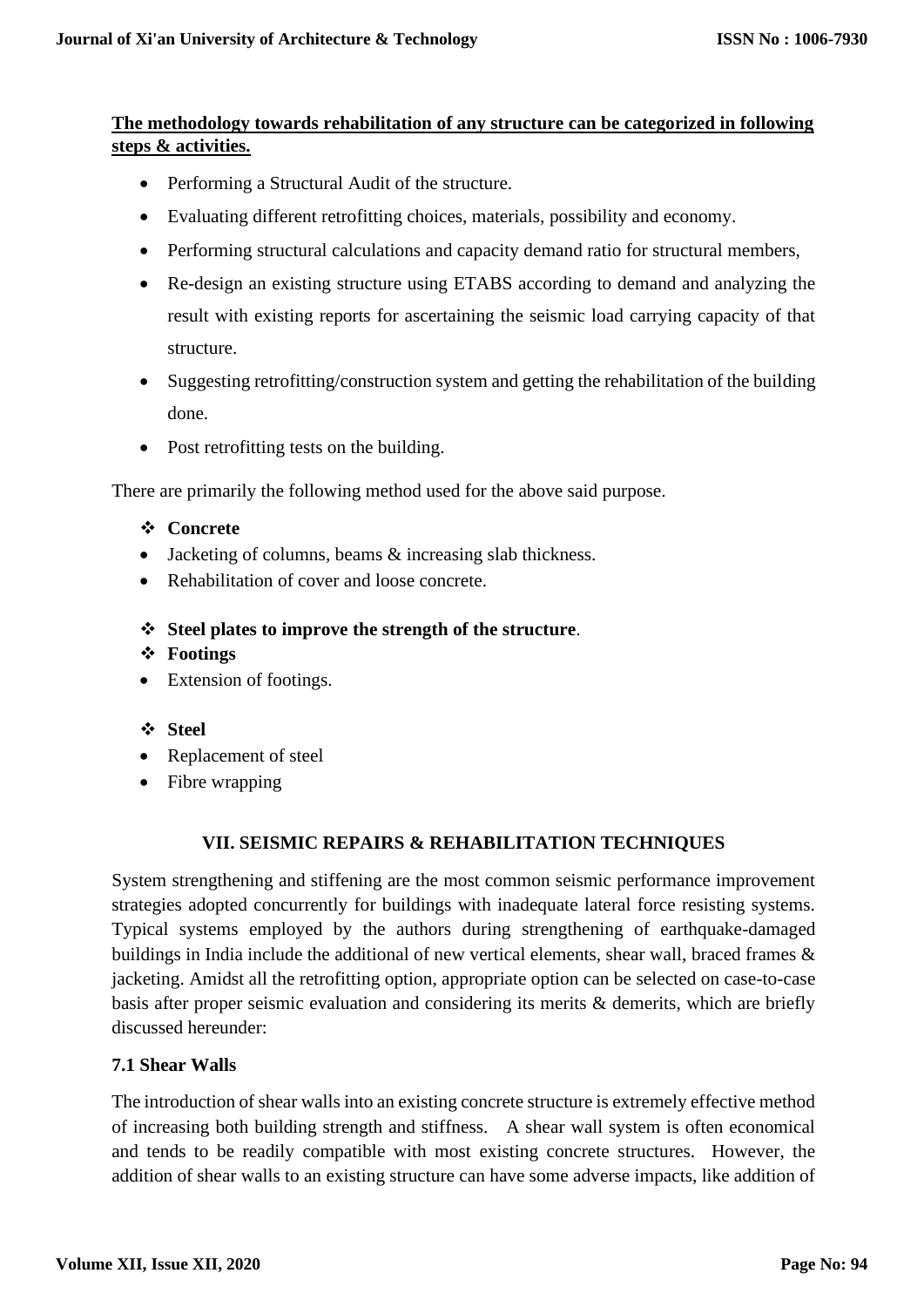## **The methodology towards rehabilitation of any structure can be categorized in following steps & activities.**

- Performing a Structural Audit of the structure.
- Evaluating different retrofitting choices, materials, possibility and economy.
- Performing structural calculations and capacity demand ratio for structural members,
- Re-design an existing structure using ETABS according to demand and analyzing the result with existing reports for ascertaining the seismic load carrying capacity of that structure.
- Suggesting retrofitting/construction system and getting the rehabilitation of the building done.
- Post retrofitting tests on the building.

There are primarily the following method used for the above said purpose.

- ❖ **Concrete**
- Jacketing of columns, beams & increasing slab thickness.
- Rehabilitation of cover and loose concrete.
- ❖ **Steel plates to improve the strength of the structure**.
- ❖ **Footings**
- Extension of footings.
- ❖ **Steel**
- Replacement of steel
- Fibre wrapping

#### **VII. SEISMIC REPAIRS & REHABILITATION TECHNIQUES**

System strengthening and stiffening are the most common seismic performance improvement strategies adopted concurrently for buildings with inadequate lateral force resisting systems. Typical systems employed by the authors during strengthening of earthquake-damaged buildings in India include the additional of new vertical elements, shear wall, braced frames & jacketing. Amidst all the retrofitting option, appropriate option can be selected on case-to-case basis after proper seismic evaluation and considering its merits & demerits, which are briefly discussed hereunder:

### **7.1 Shear Walls**

The introduction of shear walls into an existing concrete structure is extremely effective method of increasing both building strength and stiffness. A shear wall system is often economical and tends to be readily compatible with most existing concrete structures. However, the addition of shear walls to an existing structure can have some adverse impacts, like addition of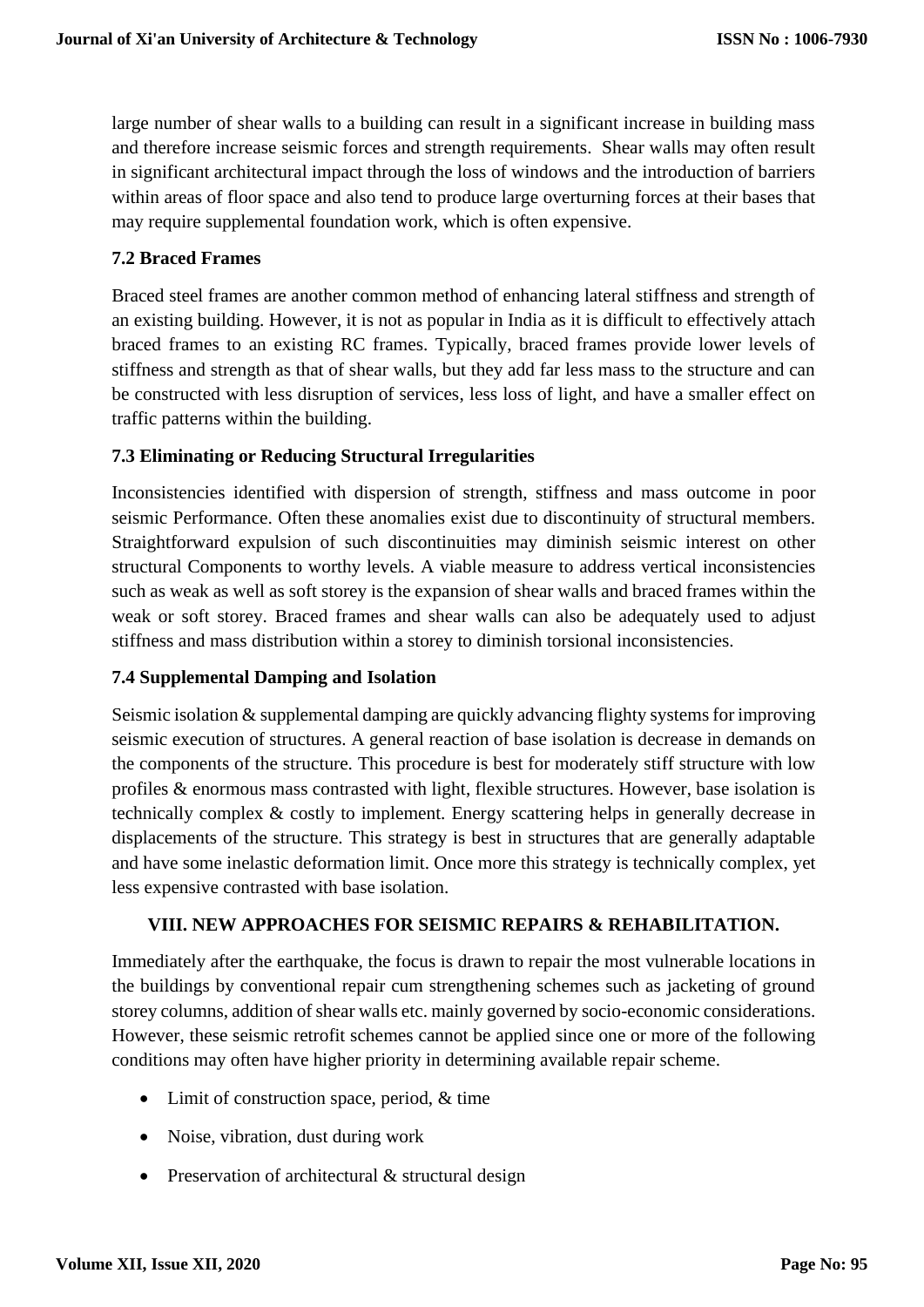large number of shear walls to a building can result in a significant increase in building mass and therefore increase seismic forces and strength requirements. Shear walls may often result in significant architectural impact through the loss of windows and the introduction of barriers within areas of floor space and also tend to produce large overturning forces at their bases that may require supplemental foundation work, which is often expensive.

### **7.2 Braced Frames**

Braced steel frames are another common method of enhancing lateral stiffness and strength of an existing building. However, it is not as popular in India as it is difficult to effectively attach braced frames to an existing RC frames. Typically, braced frames provide lower levels of stiffness and strength as that of shear walls, but they add far less mass to the structure and can be constructed with less disruption of services, less loss of light, and have a smaller effect on traffic patterns within the building.

### **7.3 Eliminating or Reducing Structural Irregularities**

Inconsistencies identified with dispersion of strength, stiffness and mass outcome in poor seismic Performance. Often these anomalies exist due to discontinuity of structural members. Straightforward expulsion of such discontinuities may diminish seismic interest on other structural Components to worthy levels. A viable measure to address vertical inconsistencies such as weak as well as soft storey is the expansion of shear walls and braced frames within the weak or soft storey. Braced frames and shear walls can also be adequately used to adjust stiffness and mass distribution within a storey to diminish torsional inconsistencies.

#### **7.4 Supplemental Damping and Isolation**

Seismic isolation & supplemental damping are quickly advancing flighty systems for improving seismic execution of structures. A general reaction of base isolation is decrease in demands on the components of the structure. This procedure is best for moderately stiff structure with low profiles & enormous mass contrasted with light, flexible structures. However, base isolation is technically complex & costly to implement. Energy scattering helps in generally decrease in displacements of the structure. This strategy is best in structures that are generally adaptable and have some inelastic deformation limit. Once more this strategy is technically complex, yet less expensive contrasted with base isolation.

## **VIII. NEW APPROACHES FOR SEISMIC REPAIRS & REHABILITATION.**

Immediately after the earthquake, the focus is drawn to repair the most vulnerable locations in the buildings by conventional repair cum strengthening schemes such as jacketing of ground storey columns, addition of shear walls etc. mainly governed by socio-economic considerations. However, these seismic retrofit schemes cannot be applied since one or more of the following conditions may often have higher priority in determining available repair scheme.

- Limit of construction space, period, & time
- Noise, vibration, dust during work
- Preservation of architectural & structural design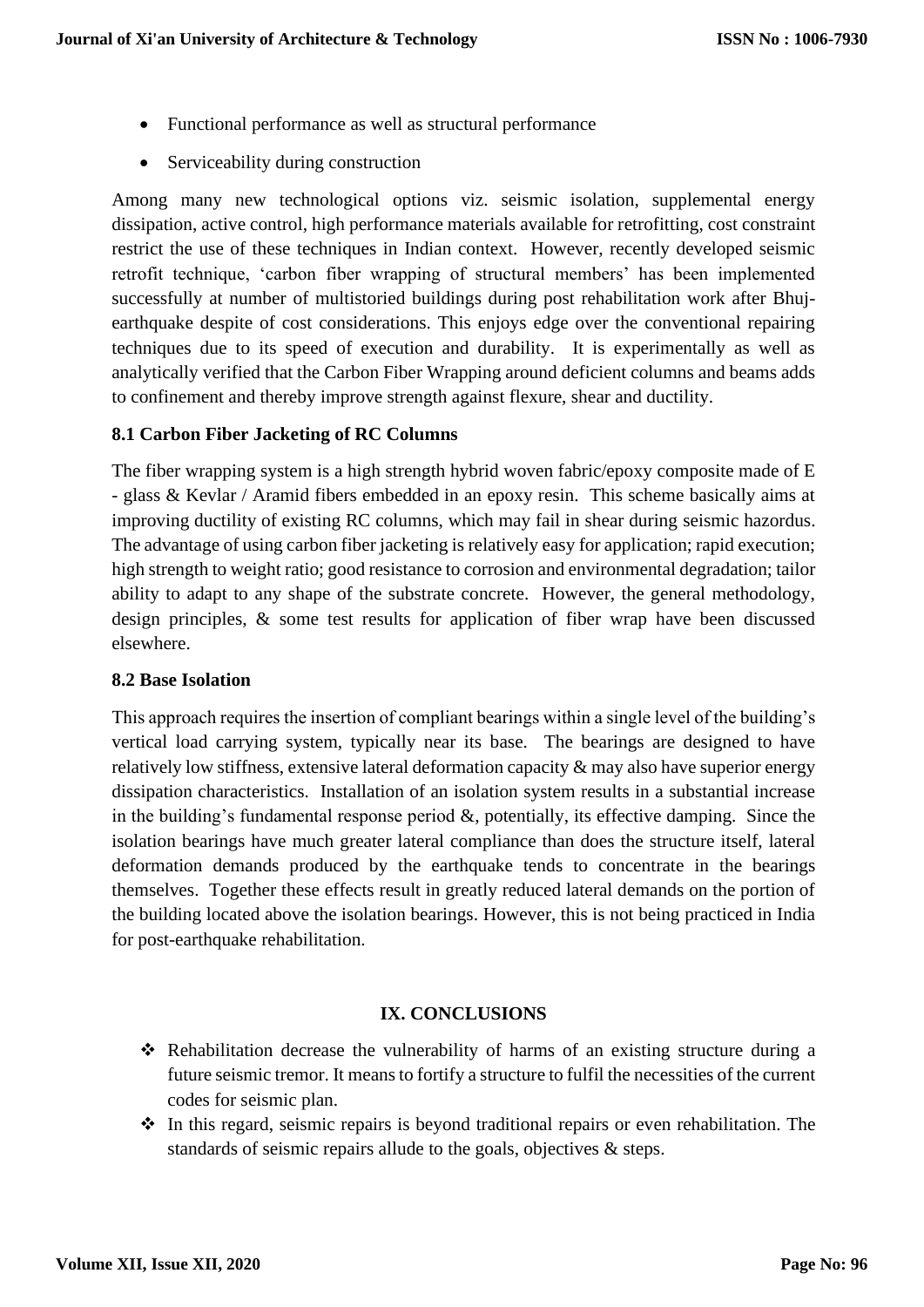- Functional performance as well as structural performance
- Serviceability during construction

Among many new technological options viz. seismic isolation, supplemental energy dissipation, active control, high performance materials available for retrofitting, cost constraint restrict the use of these techniques in Indian context. However, recently developed seismic retrofit technique, 'carbon fiber wrapping of structural members' has been implemented successfully at number of multistoried buildings during post rehabilitation work after Bhujearthquake despite of cost considerations. This enjoys edge over the conventional repairing techniques due to its speed of execution and durability. It is experimentally as well as analytically verified that the Carbon Fiber Wrapping around deficient columns and beams adds to confinement and thereby improve strength against flexure, shear and ductility.

#### **8.1 Carbon Fiber Jacketing of RC Columns**

The fiber wrapping system is a high strength hybrid woven fabric/epoxy composite made of E - glass & Kevlar / Aramid fibers embedded in an epoxy resin. This scheme basically aims at improving ductility of existing RC columns, which may fail in shear during seismic hazordus. The advantage of using carbon fiber jacketing is relatively easy for application; rapid execution; high strength to weight ratio; good resistance to corrosion and environmental degradation; tailor ability to adapt to any shape of the substrate concrete. However, the general methodology, design principles, & some test results for application of fiber wrap have been discussed elsewhere.

#### **8.2 Base Isolation**

This approach requires the insertion of compliant bearings within a single level of the building's vertical load carrying system, typically near its base. The bearings are designed to have relatively low stiffness, extensive lateral deformation capacity & may also have superior energy dissipation characteristics. Installation of an isolation system results in a substantial increase in the building's fundamental response period  $\&$ , potentially, its effective damping. Since the isolation bearings have much greater lateral compliance than does the structure itself, lateral deformation demands produced by the earthquake tends to concentrate in the bearings themselves. Together these effects result in greatly reduced lateral demands on the portion of the building located above the isolation bearings. However, this is not being practiced in India for post-earthquake rehabilitation.

#### **IX. CONCLUSIONS**

- ❖ Rehabilitation decrease the vulnerability of harms of an existing structure during a future seismic tremor. It means to fortify a structure to fulfil the necessities of the current codes for seismic plan.
- ❖ In this regard, seismic repairs is beyond traditional repairs or even rehabilitation. The standards of seismic repairs allude to the goals, objectives & steps.